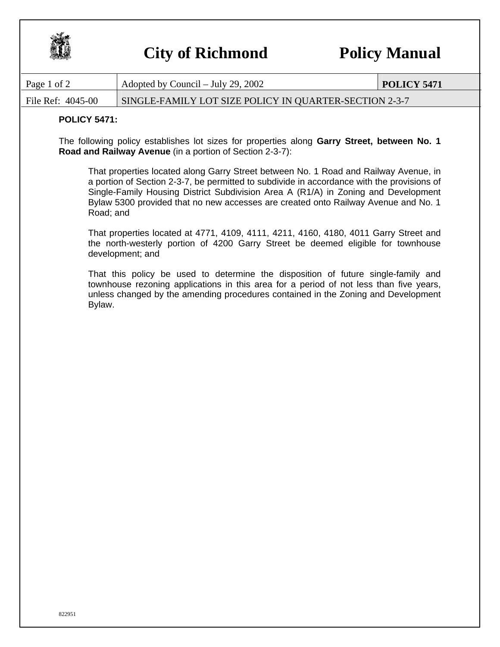

## **City of Richmond Policy Manual**

| Page 1 of 2                                                                                                                                                                                                                                                                | Adopted by Council $-$ July 29, 2002                                                                                                                                                                                                                                                                                                                           | <b>POLICY 5471</b> |
|----------------------------------------------------------------------------------------------------------------------------------------------------------------------------------------------------------------------------------------------------------------------------|----------------------------------------------------------------------------------------------------------------------------------------------------------------------------------------------------------------------------------------------------------------------------------------------------------------------------------------------------------------|--------------------|
| File Ref: 4045-00<br>SINGLE-FAMILY LOT SIZE POLICY IN QUARTER-SECTION 2-3-7                                                                                                                                                                                                |                                                                                                                                                                                                                                                                                                                                                                |                    |
| <b>POLICY 5471:</b>                                                                                                                                                                                                                                                        |                                                                                                                                                                                                                                                                                                                                                                |                    |
| The following policy establishes lot sizes for properties along Garry Street, between No. 1<br>Road and Railway Avenue (in a portion of Section 2-3-7):                                                                                                                    |                                                                                                                                                                                                                                                                                                                                                                |                    |
| Road; and                                                                                                                                                                                                                                                                  | That properties located along Garry Street between No. 1 Road and Railway Avenue, in<br>a portion of Section 2-3-7, be permitted to subdivide in accordance with the provisions of<br>Single-Family Housing District Subdivision Area A (R1/A) in Zoning and Development<br>Bylaw 5300 provided that no new accesses are created onto Railway Avenue and No. 1 |                    |
| That properties located at 4771, 4109, 4111, 4211, 4160, 4180, 4011 Garry Street and<br>the north-westerly portion of 4200 Garry Street be deemed eligible for townhouse<br>development; and                                                                               |                                                                                                                                                                                                                                                                                                                                                                |                    |
| That this policy be used to determine the disposition of future single-family and<br>townhouse rezoning applications in this area for a period of not less than five years,<br>unless changed by the amending procedures contained in the Zoning and Development<br>Bylaw. |                                                                                                                                                                                                                                                                                                                                                                |                    |
|                                                                                                                                                                                                                                                                            |                                                                                                                                                                                                                                                                                                                                                                |                    |
|                                                                                                                                                                                                                                                                            |                                                                                                                                                                                                                                                                                                                                                                |                    |
|                                                                                                                                                                                                                                                                            |                                                                                                                                                                                                                                                                                                                                                                |                    |
|                                                                                                                                                                                                                                                                            |                                                                                                                                                                                                                                                                                                                                                                |                    |
|                                                                                                                                                                                                                                                                            |                                                                                                                                                                                                                                                                                                                                                                |                    |
|                                                                                                                                                                                                                                                                            |                                                                                                                                                                                                                                                                                                                                                                |                    |
|                                                                                                                                                                                                                                                                            |                                                                                                                                                                                                                                                                                                                                                                |                    |